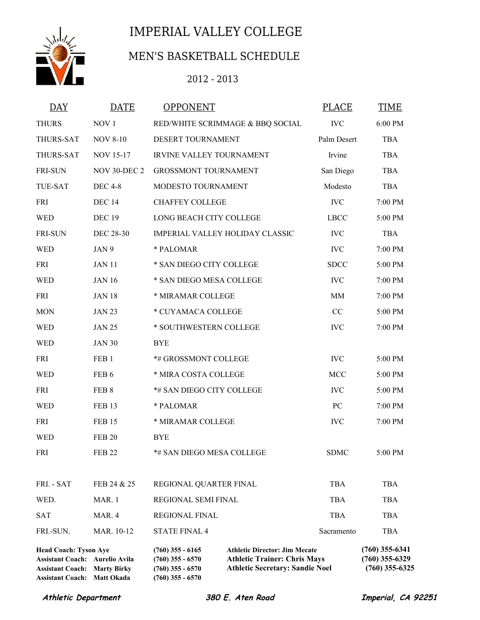

## IMPERIAL VALLEY COLLEGE

## MEN'S BASKETBALL SCHEDULE

## 2012 - 2013

| <b>DAY</b>                                                                                                                                  | <b>DATE</b>         | <b>OPPONENT</b>                                                                      |                                                                                                                       | PLACE       | <b>TIME</b>                                              |
|---------------------------------------------------------------------------------------------------------------------------------------------|---------------------|--------------------------------------------------------------------------------------|-----------------------------------------------------------------------------------------------------------------------|-------------|----------------------------------------------------------|
| <b>THURS</b>                                                                                                                                | NOV <sub>1</sub>    | RED/WHITE SCRIMMAGE & BBQ SOCIAL                                                     |                                                                                                                       | <b>IVC</b>  | 6:00 PM                                                  |
| THURS-SAT                                                                                                                                   | <b>NOV 8-10</b>     | DESERT TOURNAMENT                                                                    |                                                                                                                       | Palm Desert | <b>TBA</b>                                               |
| THURS-SAT                                                                                                                                   | <b>NOV 15-17</b>    | <b>IRVINE VALLEY TOURNAMENT</b>                                                      |                                                                                                                       | Irvine      | <b>TBA</b>                                               |
| <b>FRI-SUN</b>                                                                                                                              | <b>NOV 30-DEC 2</b> | <b>GROSSMONT TOURNAMENT</b>                                                          |                                                                                                                       | San Diego   | <b>TBA</b>                                               |
| <b>TUE-SAT</b>                                                                                                                              | <b>DEC 4-8</b>      | MODESTO TOURNAMENT                                                                   |                                                                                                                       | Modesto     | <b>TBA</b>                                               |
| <b>FRI</b>                                                                                                                                  | <b>DEC 14</b>       | <b>CHAFFEY COLLEGE</b>                                                               |                                                                                                                       | <b>IVC</b>  | 7:00 PM                                                  |
| <b>WED</b>                                                                                                                                  | <b>DEC 19</b>       | LONG BEACH CITY COLLEGE                                                              |                                                                                                                       | <b>LBCC</b> | 5:00 PM                                                  |
| <b>FRI-SUN</b>                                                                                                                              | <b>DEC 28-30</b>    | IMPERIAL VALLEY HOLIDAY CLASSIC                                                      |                                                                                                                       | <b>IVC</b>  | <b>TBA</b>                                               |
| <b>WED</b>                                                                                                                                  | JAN 9               | * PALOMAR                                                                            |                                                                                                                       | <b>IVC</b>  | 7:00 PM                                                  |
| <b>FRI</b>                                                                                                                                  | <b>JAN 11</b>       | * SAN DIEGO CITY COLLEGE                                                             |                                                                                                                       | <b>SDCC</b> | 5:00 PM                                                  |
| <b>WED</b>                                                                                                                                  | <b>JAN 16</b>       | * SAN DIEGO MESA COLLEGE                                                             |                                                                                                                       | <b>IVC</b>  | 7:00 PM                                                  |
| <b>FRI</b>                                                                                                                                  | <b>JAN 18</b>       | * MIRAMAR COLLEGE                                                                    |                                                                                                                       | MM          | 7:00 PM                                                  |
| <b>MON</b>                                                                                                                                  | <b>JAN 23</b>       | * CUYAMACA COLLEGE                                                                   |                                                                                                                       | CC          | 5:00 PM                                                  |
| <b>WED</b>                                                                                                                                  | <b>JAN 25</b>       | * SOUTHWESTERN COLLEGE                                                               |                                                                                                                       | <b>IVC</b>  | 7:00 PM                                                  |
| <b>WED</b>                                                                                                                                  | <b>JAN 30</b>       | <b>BYE</b>                                                                           |                                                                                                                       |             |                                                          |
| <b>FRI</b>                                                                                                                                  | FEB <sub>1</sub>    | *# GROSSMONT COLLEGE                                                                 |                                                                                                                       | <b>IVC</b>  | 5:00 PM                                                  |
| <b>WED</b>                                                                                                                                  | FEB <sub>6</sub>    | * MIRA COSTA COLLEGE                                                                 |                                                                                                                       | MCC         | 5:00 PM                                                  |
| <b>FRI</b>                                                                                                                                  | FEB 8               | *# SAN DIEGO CITY COLLEGE                                                            |                                                                                                                       | <b>IVC</b>  | 5:00 PM                                                  |
| <b>WED</b>                                                                                                                                  | <b>FEB 13</b>       | * PALOMAR                                                                            |                                                                                                                       | PC          | 7:00 PM                                                  |
| <b>FRI</b>                                                                                                                                  | <b>FEB 15</b>       | * MIRAMAR COLLEGE                                                                    |                                                                                                                       | <b>IVC</b>  | 7:00 PM                                                  |
| <b>WED</b>                                                                                                                                  | <b>FEB 20</b>       | <b>BYE</b>                                                                           |                                                                                                                       |             |                                                          |
| FRI                                                                                                                                         | <b>FEB 22</b>       | *# SAN DIEGO MESA COLLEGE                                                            |                                                                                                                       | <b>SDMC</b> | 5:00 PM                                                  |
|                                                                                                                                             |                     |                                                                                      |                                                                                                                       |             |                                                          |
| FRI. - SAT                                                                                                                                  | FEB 24 & 25         | REGIONAL QUARTER FINAL                                                               |                                                                                                                       | <b>TBA</b>  | <b>TBA</b>                                               |
| WED.                                                                                                                                        | MAR. 1              | REGIONAL SEMI FINAL                                                                  |                                                                                                                       | <b>TBA</b>  | <b>TBA</b>                                               |
| <b>SAT</b>                                                                                                                                  | MAR. 4              | <b>REGIONAL FINAL</b>                                                                |                                                                                                                       | <b>TBA</b>  | <b>TBA</b>                                               |
| FRI.-SUN.                                                                                                                                   | MAR. 10-12          | <b>STATE FINAL 4</b>                                                                 |                                                                                                                       | Sacramento  | <b>TBA</b>                                               |
| <b>Head Coach: Tyson Aye</b><br>Assistant Coach: Aurelio Avila<br><b>Assistant Coach: Marty Birky</b><br><b>Assistant Coach: Matt Okada</b> |                     | $(760)$ 355 - 6165<br>$(760)$ 355 - 6570<br>$(760)$ 355 - 6570<br>$(760)$ 355 - 6570 | <b>Athletic Director: Jim Mecate</b><br><b>Athletic Trainer: Chris Mays</b><br><b>Athletic Secretary: Sandie Noel</b> |             | $(760)$ 355-6341<br>$(760)$ 355-6329<br>$(760)$ 355-6325 |